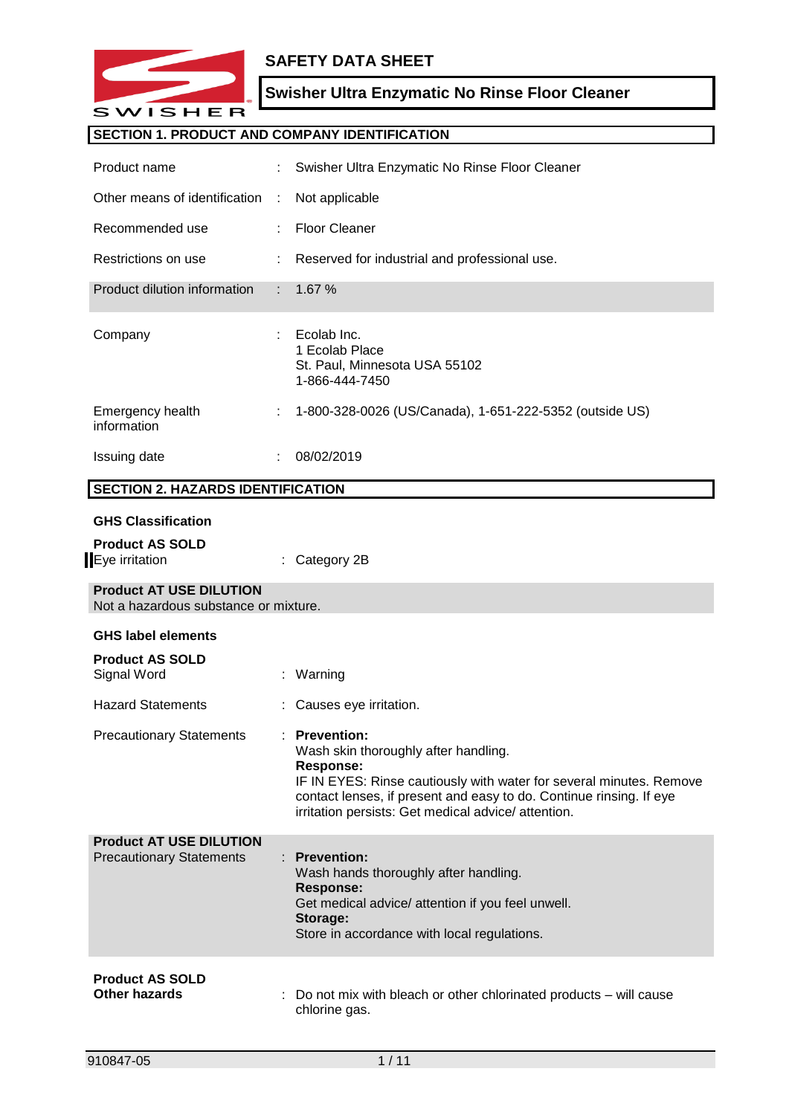

# **SAFETY DATA SHEET**

# **Swisher Ultra Enzymatic No Rinse Floor Cleaner**

# **SECTION 1. PRODUCT AND COMPANY IDENTIFICATION**

| Product name                                                            | ÷.            | Swisher Ultra Enzymatic No Rinse Floor Cleaner                                                                                                                                                                                                                                      |
|-------------------------------------------------------------------------|---------------|-------------------------------------------------------------------------------------------------------------------------------------------------------------------------------------------------------------------------------------------------------------------------------------|
| Other means of identification                                           | $\mathcal{L}$ | Not applicable                                                                                                                                                                                                                                                                      |
| Recommended use                                                         |               | <b>Floor Cleaner</b>                                                                                                                                                                                                                                                                |
| Restrictions on use                                                     |               | Reserved for industrial and professional use.                                                                                                                                                                                                                                       |
| Product dilution information                                            | ÷.            | 1.67 %                                                                                                                                                                                                                                                                              |
| Company                                                                 |               | Ecolab Inc.<br>1 Ecolab Place<br>St. Paul, Minnesota USA 55102<br>1-866-444-7450                                                                                                                                                                                                    |
| Emergency health<br>information                                         |               | 1-800-328-0026 (US/Canada), 1-651-222-5352 (outside US)                                                                                                                                                                                                                             |
| Issuing date                                                            |               | 08/02/2019                                                                                                                                                                                                                                                                          |
| <b>SECTION 2. HAZARDS IDENTIFICATION</b>                                |               |                                                                                                                                                                                                                                                                                     |
| <b>GHS Classification</b>                                               |               |                                                                                                                                                                                                                                                                                     |
| <b>Product AS SOLD</b>                                                  |               |                                                                                                                                                                                                                                                                                     |
| Eye irritation                                                          |               | Category 2B                                                                                                                                                                                                                                                                         |
| <b>Product AT USE DILUTION</b><br>Not a hazardous substance or mixture. |               |                                                                                                                                                                                                                                                                                     |
| <b>GHS label elements</b>                                               |               |                                                                                                                                                                                                                                                                                     |
| <b>Product AS SOLD</b><br>Signal Word                                   |               | : Warning                                                                                                                                                                                                                                                                           |
| <b>Hazard Statements</b>                                                |               | Causes eye irritation.                                                                                                                                                                                                                                                              |
| <b>Precautionary Statements</b>                                         |               | <b>Prevention:</b><br>Wash skin thoroughly after handling.<br><b>Response:</b><br>IF IN EYES: Rinse cautiously with water for several minutes. Remove<br>contact lenses, if present and easy to do. Continue rinsing. If eye<br>irritation persists: Get medical advice/ attention. |
| <b>Product AT USE DILUTION</b><br><b>Precautionary Statements</b>       |               | : Prevention:<br>Wash hands thoroughly after handling.<br>Response:<br>Get medical advice/ attention if you feel unwell.<br>Storage:<br>Store in accordance with local regulations.                                                                                                 |
| <b>Product AS SOLD</b><br><b>Other hazards</b>                          |               | Do not mix with bleach or other chlorinated products - will cause<br>chlorine gas.                                                                                                                                                                                                  |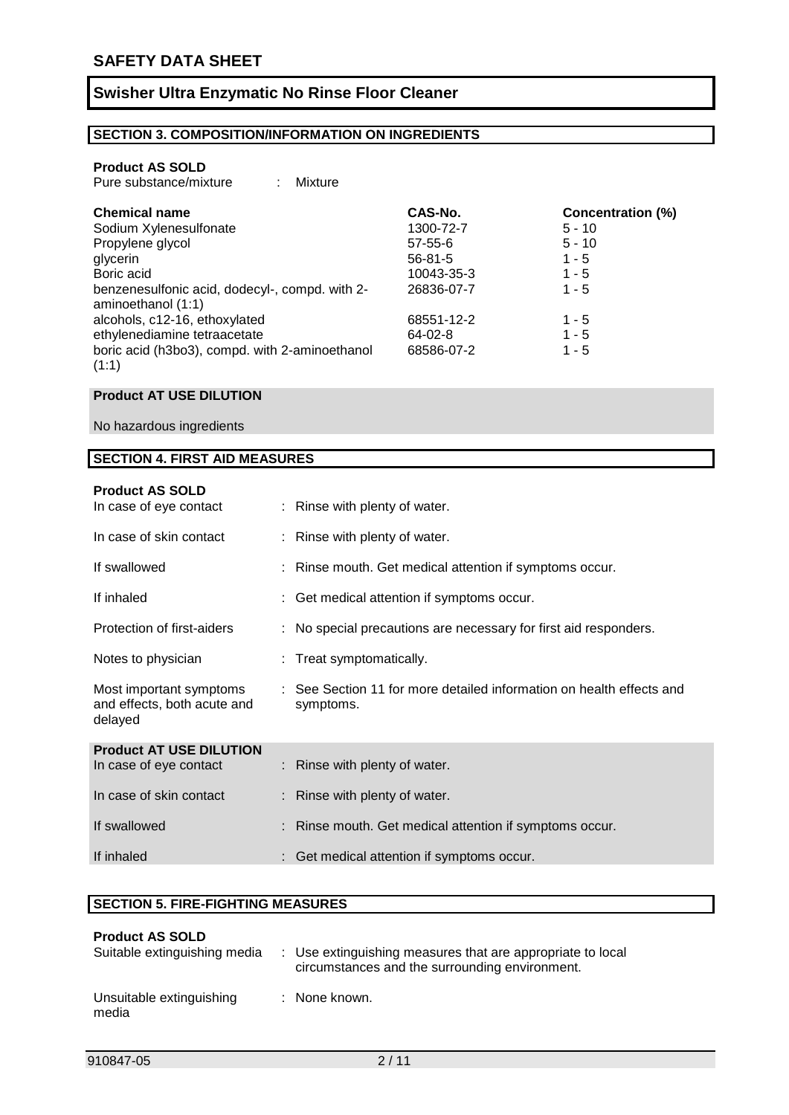### **SECTION 3. COMPOSITION/INFORMATION ON INGREDIENTS**

#### **Product AS SOLD**

| Pure substance/mixture |  | Mixture |
|------------------------|--|---------|
|------------------------|--|---------|

| <b>Chemical name</b>                                                 | CAS-No.       | <b>Concentration (%)</b> |
|----------------------------------------------------------------------|---------------|--------------------------|
| Sodium Xylenesulfonate                                               | 1300-72-7     | $5 - 10$                 |
| Propylene glycol                                                     | $57 - 55 - 6$ | $5 - 10$                 |
| glycerin                                                             | $56 - 81 - 5$ | $1 - 5$                  |
| Boric acid                                                           | 10043-35-3    | $1 - 5$                  |
| benzenesulfonic acid, dodecyl-, compd. with 2-<br>aminoethanol (1:1) | 26836-07-7    | $1 - 5$                  |
| alcohols, c12-16, ethoxylated                                        | 68551-12-2    | $1 - 5$                  |
| ethylenediamine tetraacetate                                         | $64 - 02 - 8$ | $1 - 5$                  |
| boric acid (h3bo3), compd. with 2-aminoethanol<br>(1:1)              | 68586-07-2    | $1 - 5$                  |

#### **Product AT USE DILUTION**

No hazardous ingredients

#### **SECTION 4. FIRST AID MEASURES**

| <b>Product AS SOLD</b><br>In case of eye contact                  |   | : Rinse with plenty of water.                                                     |
|-------------------------------------------------------------------|---|-----------------------------------------------------------------------------------|
| In case of skin contact                                           |   | : Rinse with plenty of water.                                                     |
| If swallowed                                                      |   | : Rinse mouth. Get medical attention if symptoms occur.                           |
| If inhaled                                                        |   | : Get medical attention if symptoms occur.                                        |
| Protection of first-aiders                                        | ÷ | No special precautions are necessary for first aid responders.                    |
| Notes to physician                                                |   | Treat symptomatically.                                                            |
| Most important symptoms<br>and effects, both acute and<br>delayed |   | : See Section 11 for more detailed information on health effects and<br>symptoms. |
| <b>Product AT USE DILUTION</b><br>In case of eye contact          |   | : Rinse with plenty of water.                                                     |
|                                                                   |   |                                                                                   |
| In case of skin contact                                           |   | Rinse with plenty of water.                                                       |
| If swallowed                                                      |   | Rinse mouth. Get medical attention if symptoms occur.                             |
| If inhaled                                                        |   | : Get medical attention if symptoms occur.                                        |

#### **SECTION 5. FIRE-FIGHTING MEASURES**

| <b>Product AS SOLD</b><br>Suitable extinguishing media | : Use extinguishing measures that are appropriate to local<br>circumstances and the surrounding environment. |
|--------------------------------------------------------|--------------------------------------------------------------------------------------------------------------|
| Unsuitable extinguishing<br>media                      | : None known.                                                                                                |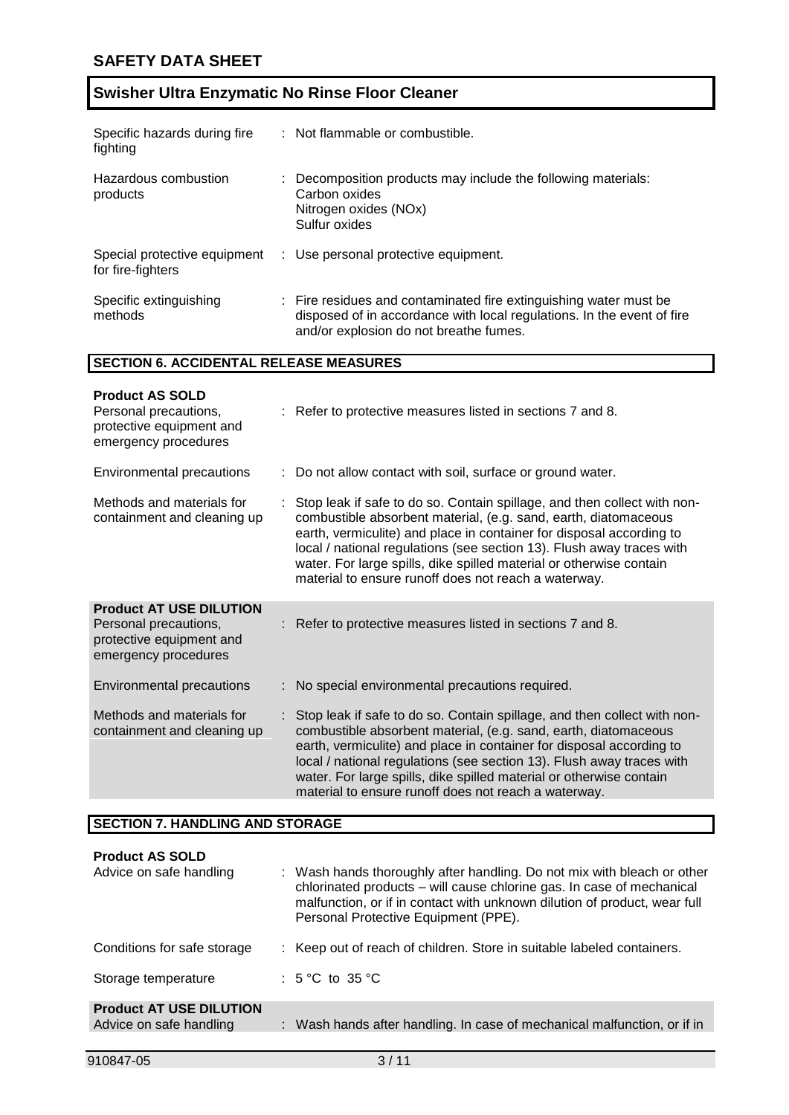| Specific hazards during fire<br>fighting          | : Not flammable or combustible.                                                                                                                                                       |
|---------------------------------------------------|---------------------------------------------------------------------------------------------------------------------------------------------------------------------------------------|
| Hazardous combustion<br>products                  | Decomposition products may include the following materials:<br>Carbon oxides<br>Nitrogen oxides (NOx)<br>Sulfur oxides                                                                |
| Special protective equipment<br>for fire-fighters | : Use personal protective equipment.                                                                                                                                                  |
| Specific extinguishing<br>methods                 | : Fire residues and contaminated fire extinguishing water must be<br>disposed of in accordance with local regulations. In the event of fire<br>and/or explosion do not breathe fumes. |

### **SECTION 6. ACCIDENTAL RELEASE MEASURES**

| <b>Product AS SOLD</b><br>Personal precautions,<br>protective equipment and<br>emergency procedures         | : Refer to protective measures listed in sections 7 and 8.                                                                                                                                                                                                                                                                                                                                                                    |
|-------------------------------------------------------------------------------------------------------------|-------------------------------------------------------------------------------------------------------------------------------------------------------------------------------------------------------------------------------------------------------------------------------------------------------------------------------------------------------------------------------------------------------------------------------|
| <b>Environmental precautions</b>                                                                            | : Do not allow contact with soil, surface or ground water.                                                                                                                                                                                                                                                                                                                                                                    |
| Methods and materials for<br>containment and cleaning up                                                    | : Stop leak if safe to do so. Contain spillage, and then collect with non-<br>combustible absorbent material, (e.g. sand, earth, diatomaceous<br>earth, vermiculite) and place in container for disposal according to<br>local / national regulations (see section 13). Flush away traces with<br>water. For large spills, dike spilled material or otherwise contain<br>material to ensure runoff does not reach a waterway. |
| <b>Product AT USE DILUTION</b><br>Personal precautions,<br>protective equipment and<br>emergency procedures | : Refer to protective measures listed in sections 7 and 8.                                                                                                                                                                                                                                                                                                                                                                    |
| <b>Environmental precautions</b>                                                                            | : No special environmental precautions required.                                                                                                                                                                                                                                                                                                                                                                              |
| Methods and materials for<br>containment and cleaning up                                                    | : Stop leak if safe to do so. Contain spillage, and then collect with non-<br>combustible absorbent material, (e.g. sand, earth, diatomaceous<br>earth, vermiculite) and place in container for disposal according to<br>local / national regulations (see section 13). Flush away traces with<br>water. For large spills, dike spilled material or otherwise contain<br>material to ensure runoff does not reach a waterway. |

### **SECTION 7. HANDLING AND STORAGE**

| <b>Product AS SOLD</b><br>Advice on safe handling         | : Wash hands thoroughly after handling. Do not mix with bleach or other<br>chlorinated products - will cause chlorine gas. In case of mechanical<br>malfunction, or if in contact with unknown dilution of product, wear full<br>Personal Protective Equipment (PPE). |
|-----------------------------------------------------------|-----------------------------------------------------------------------------------------------------------------------------------------------------------------------------------------------------------------------------------------------------------------------|
| Conditions for safe storage                               | : Keep out of reach of children. Store in suitable labeled containers.                                                                                                                                                                                                |
| Storage temperature                                       | : $5^{\circ}$ C to $35^{\circ}$ C                                                                                                                                                                                                                                     |
| <b>Product AT USE DILUTION</b><br>Advice on safe handling | : Wash hands after handling. In case of mechanical malfunction, or if in                                                                                                                                                                                              |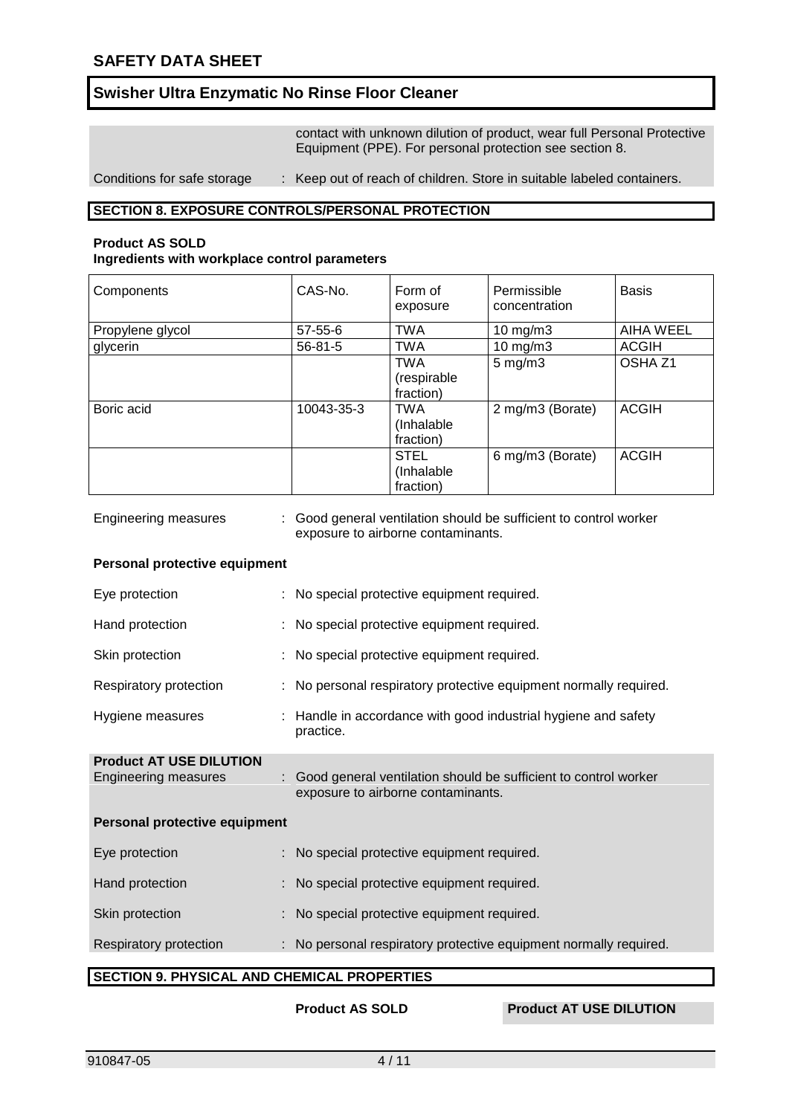contact with unknown dilution of product, wear full Personal Protective Equipment (PPE). For personal protection see section 8.

Conditions for safe storage : Keep out of reach of children. Store in suitable labeled containers.

#### **SECTION 8. EXPOSURE CONTROLS/PERSONAL PROTECTION**

#### **Product AS SOLD Ingredients with workplace control parameters**

| Components       | CAS-No.       | Form of<br>exposure                     | Permissible<br>concentration | <b>Basis</b>       |
|------------------|---------------|-----------------------------------------|------------------------------|--------------------|
| Propylene glycol | $57 - 55 - 6$ | <b>TWA</b>                              | 10 mg/m $3$                  | <b>AIHA WEEL</b>   |
| glycerin         | $56 - 81 - 5$ | <b>TWA</b>                              | $10$ mg/m $3$                | <b>ACGIH</b>       |
|                  |               | <b>TWA</b><br>(respirable<br>fraction)  | $5 \text{ mg/m}$ 3           | OSHA <sub>Z1</sub> |
| Boric acid       | 10043-35-3    | <b>TWA</b><br>(Inhalable<br>fraction)   | 2 mg/m3 (Borate)             | <b>ACGIH</b>       |
|                  |               | <b>STEL</b><br>(Inhalable)<br>fraction) | 6 mg/m3 (Borate)             | <b>ACGIH</b>       |

Engineering measures : Good general ventilation should be sufficient to control worker exposure to airborne contaminants.

#### **Personal protective equipment**

| Eye protection                                                |                                                    | : No special protective equipment required.                                                             |  |  |
|---------------------------------------------------------------|----------------------------------------------------|---------------------------------------------------------------------------------------------------------|--|--|
| Hand protection                                               |                                                    | : No special protective equipment required.                                                             |  |  |
| Skin protection                                               |                                                    | : No special protective equipment required.                                                             |  |  |
| Respiratory protection                                        |                                                    | : No personal respiratory protective equipment normally required.                                       |  |  |
| Hygiene measures                                              |                                                    | : Handle in accordance with good industrial hygiene and safety<br>practice.                             |  |  |
| <b>Product AT USE DILUTION</b><br><b>Engineering measures</b> |                                                    | : Good general ventilation should be sufficient to control worker<br>exposure to airborne contaminants. |  |  |
| Personal protective equipment                                 |                                                    |                                                                                                         |  |  |
| Eye protection                                                |                                                    | : No special protective equipment required.                                                             |  |  |
| Hand protection                                               |                                                    | : No special protective equipment required.                                                             |  |  |
| Skin protection                                               |                                                    | : No special protective equipment required.                                                             |  |  |
| Respiratory protection                                        |                                                    | : No personal respiratory protective equipment normally required.                                       |  |  |
|                                                               | <b>SECTION 9. PHYSICAL AND CHEMICAL PROPERTIES</b> |                                                                                                         |  |  |

**Product AS SOLD Product AT USE DILUTION**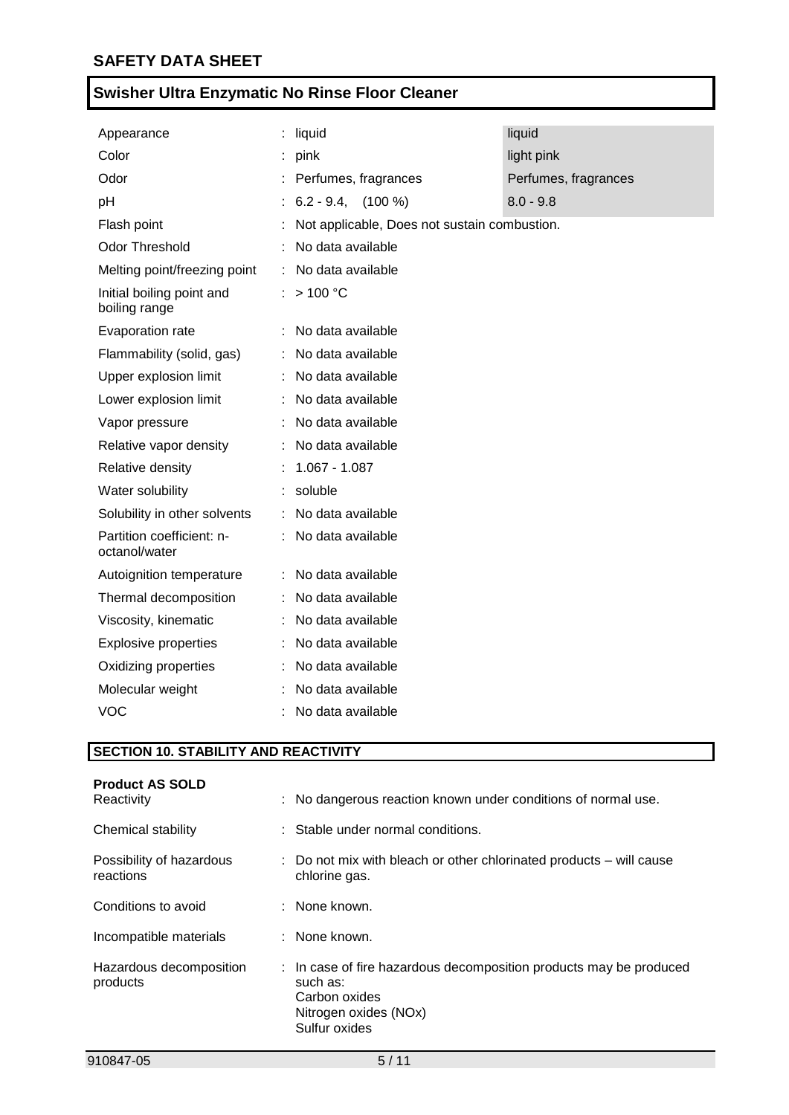| Appearance                                 | : liquid                                     | liquid               |
|--------------------------------------------|----------------------------------------------|----------------------|
| Color                                      | pink                                         | light pink           |
| Odor                                       | Perfumes, fragrances                         | Perfumes, fragrances |
| pH                                         | $6.2 - 9.4$ , $(100\%)$                      | $8.0 - 9.8$          |
| Flash point                                | Not applicable, Does not sustain combustion. |                      |
| Odor Threshold                             | No data available                            |                      |
| Melting point/freezing point               | No data available                            |                      |
| Initial boiling point and<br>boiling range | : $> 100 °C$                                 |                      |
| Evaporation rate                           | : No data available                          |                      |
| Flammability (solid, gas)                  | No data available                            |                      |
| Upper explosion limit                      | No data available                            |                      |
| Lower explosion limit                      | No data available                            |                      |
| Vapor pressure                             | No data available                            |                      |
| Relative vapor density                     | No data available                            |                      |
| Relative density                           | $1.067 - 1.087$                              |                      |
| Water solubility                           | : soluble                                    |                      |
| Solubility in other solvents               | No data available                            |                      |
| Partition coefficient: n-<br>octanol/water | No data available                            |                      |
| Autoignition temperature                   | No data available                            |                      |
| Thermal decomposition                      | No data available                            |                      |
| Viscosity, kinematic                       | No data available                            |                      |
| <b>Explosive properties</b>                | No data available                            |                      |
| Oxidizing properties                       | No data available                            |                      |
| Molecular weight                           | No data available                            |                      |
| <b>VOC</b>                                 | No data available                            |                      |

# **SECTION 10. STABILITY AND REACTIVITY**

| <b>Product AS SOLD</b><br>Reactivity  | : No dangerous reaction known under conditions of normal use.                                                                             |
|---------------------------------------|-------------------------------------------------------------------------------------------------------------------------------------------|
| Chemical stability                    | : Stable under normal conditions.                                                                                                         |
| Possibility of hazardous<br>reactions | : Do not mix with bleach or other chlorinated products – will cause<br>chlorine gas.                                                      |
| Conditions to avoid                   | $:$ None known.                                                                                                                           |
| Incompatible materials                | : None known.                                                                                                                             |
| Hazardous decomposition<br>products   | : In case of fire hazardous decomposition products may be produced<br>such as:<br>Carbon oxides<br>Nitrogen oxides (NOx)<br>Sulfur oxides |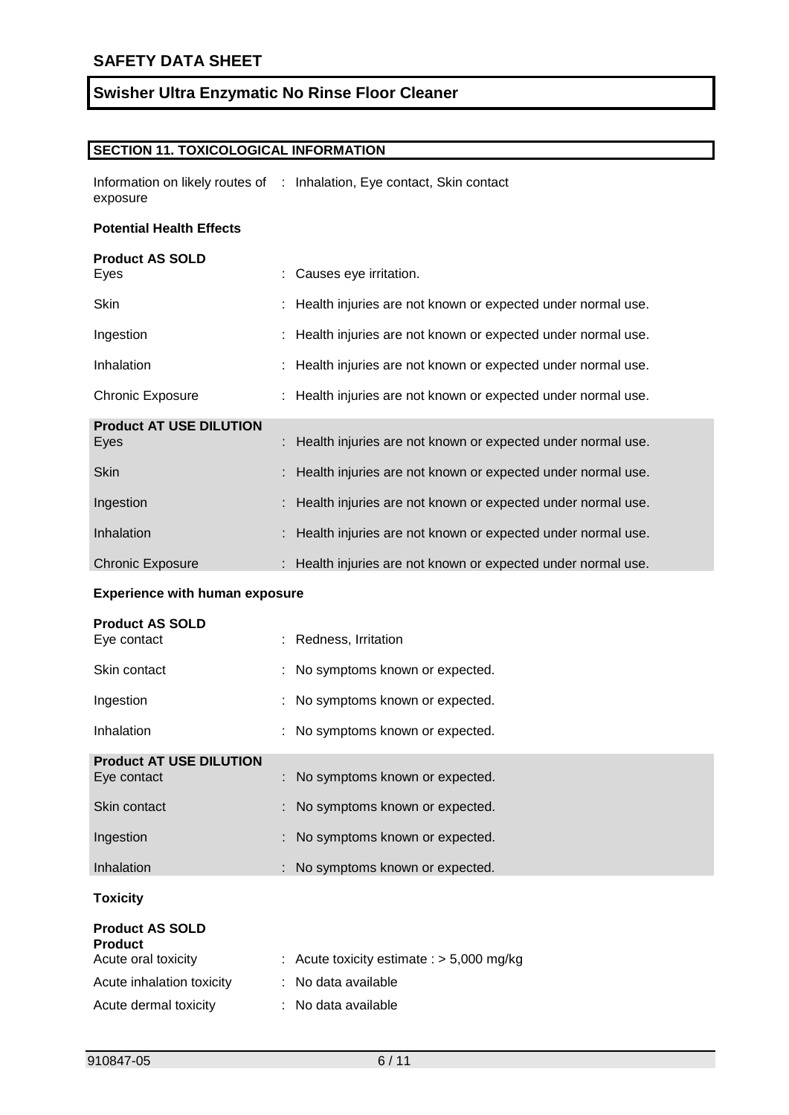#### **SECTION 11. TOXICOLOGICAL INFORMATION**

Information on likely routes of : Inhalation, Eye contact, Skin contact exposure

#### **Potential Health Effects**

# **Product AS SOLD** Eyes : Causes eye irritation. Skin : Health injuries are not known or expected under normal use. Ingestion : Health injuries are not known or expected under normal use. Inhalation : Health injuries are not known or expected under normal use. Chronic Exposure : Health injuries are not known or expected under normal use. **Product AT USE DILUTION** Eyes : Health injuries are not known or expected under normal use. Skin : Health injuries are not known or expected under normal use. Ingestion : Health injuries are not known or expected under normal use. Inhalation : Health injuries are not known or expected under normal use. Chronic Exposure : Health injuries are not known or expected under normal use.

#### **Experience with human exposure**

| <b>Product AS SOLD</b>                   |                                  |
|------------------------------------------|----------------------------------|
| Eye contact                              | : Redness, Irritation            |
| Skin contact                             | : No symptoms known or expected. |
| Ingestion                                | : No symptoms known or expected. |
| Inhalation                               | : No symptoms known or expected. |
| <b>Product AT USE DILUTION</b>           |                                  |
| Eye contact                              | : No symptoms known or expected. |
| Skin contact                             | : No symptoms known or expected. |
| Ingestion                                | : No symptoms known or expected. |
| Inhalation                               | : No symptoms known or expected. |
| <b>Toxicity</b>                          |                                  |
| <b>Product AS SOLD</b><br><b>Product</b> |                                  |

| Proguct                   |                                             |
|---------------------------|---------------------------------------------|
| Acute oral toxicity       | : Acute toxicity estimate : $> 5,000$ mg/kg |
| Acute inhalation toxicity | : No data available                         |
| Acute dermal toxicity     | : No data available                         |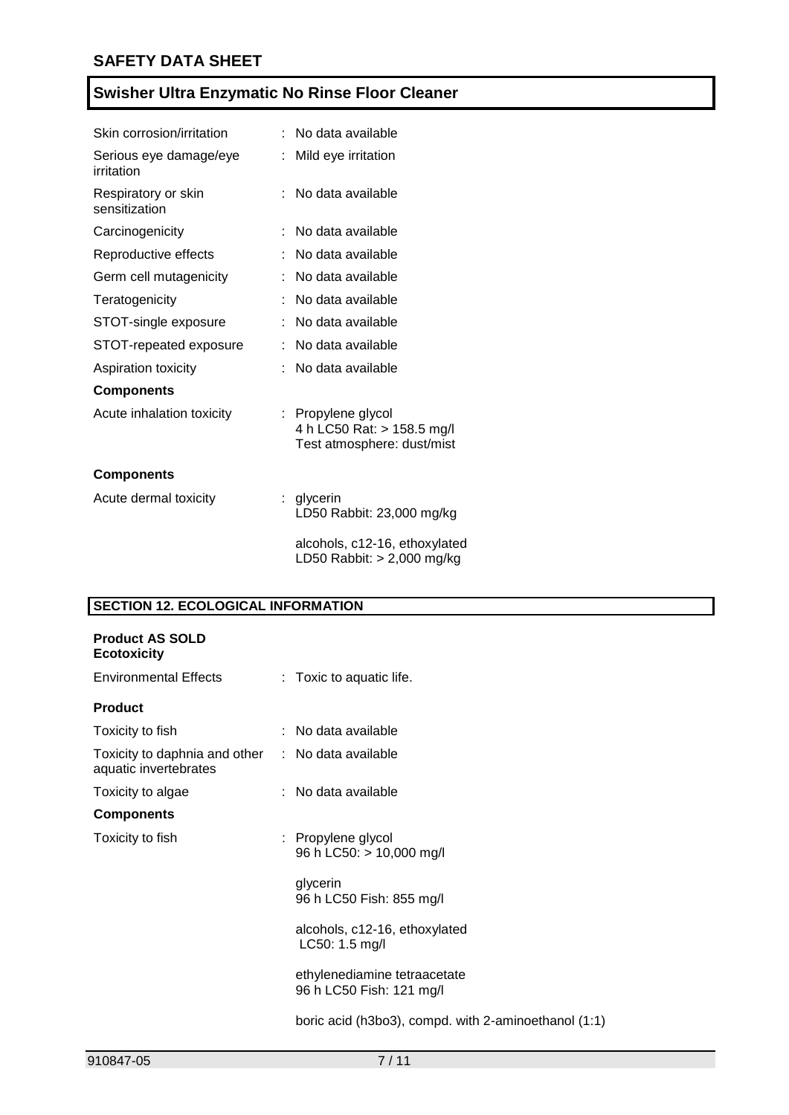| Skin corrosion/irritation            |    | No data available                                                              |
|--------------------------------------|----|--------------------------------------------------------------------------------|
| Serious eye damage/eye<br>irritation |    | Mild eye irritation                                                            |
| Respiratory or skin<br>sensitization |    | No data available                                                              |
| Carcinogenicity                      |    | No data available                                                              |
| Reproductive effects                 |    | No data available                                                              |
| Germ cell mutagenicity               |    | No data available                                                              |
| Teratogenicity                       |    | No data available                                                              |
| STOT-single exposure                 |    | No data available                                                              |
| STOT-repeated exposure               |    | No data available                                                              |
| <b>Aspiration toxicity</b>           |    | No data available                                                              |
| <b>Components</b>                    |    |                                                                                |
| Acute inhalation toxicity            |    | : Propylene glycol<br>4 h LC50 Rat: > 158.5 mg/l<br>Test atmosphere: dust/mist |
| <b>Components</b>                    |    |                                                                                |
| Acute dermal toxicity                | t. | glycerin<br>LD50 Rabbit: 23,000 mg/kg                                          |
|                                      |    | alcohols, c12-16, ethoxylated<br>LD50 Rabbit: > 2,000 mg/kg                    |

# **SECTION 12. ECOLOGICAL INFORMATION**

| <b>Product AS SOLD</b><br><b>Ecotoxicity</b>                               |                                                          |
|----------------------------------------------------------------------------|----------------------------------------------------------|
| <b>Environmental Effects</b>                                               | : Toxic to aquatic life.                                 |
| <b>Product</b>                                                             |                                                          |
| Toxicity to fish                                                           | : No data available                                      |
| Toxicity to daphnia and other : No data available<br>aquatic invertebrates |                                                          |
| Toxicity to algae                                                          | : No data available                                      |
| <b>Components</b>                                                          |                                                          |
| Toxicity to fish                                                           | : Propylene glycol<br>96 h LC50: > 10,000 mg/l           |
|                                                                            | glycerin<br>96 h LC50 Fish: 855 mg/l                     |
|                                                                            | alcohols, c12-16, ethoxylated<br>LC50: 1.5 mg/l          |
|                                                                            | ethylenediamine tetraacetate<br>96 h LC50 Fish: 121 mg/l |
|                                                                            | boric acid (h3bo3), compd. with 2-aminoethanol (1:1)     |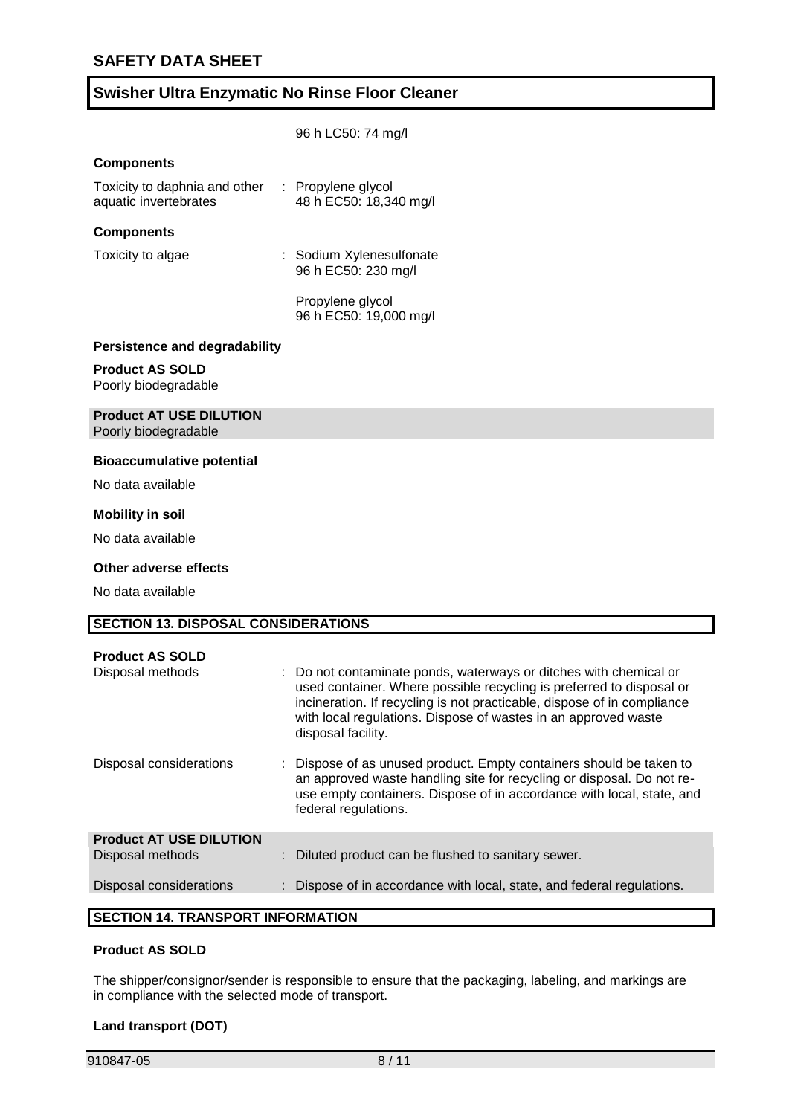|                                                                           | 96 h LC50: 74 mg/l                                                                                                                                                                                                                                                                                         |
|---------------------------------------------------------------------------|------------------------------------------------------------------------------------------------------------------------------------------------------------------------------------------------------------------------------------------------------------------------------------------------------------|
| <b>Components</b>                                                         |                                                                                                                                                                                                                                                                                                            |
| Toxicity to daphnia and other : Propylene glycol<br>aquatic invertebrates | 48 h EC50: 18,340 mg/l                                                                                                                                                                                                                                                                                     |
| <b>Components</b>                                                         |                                                                                                                                                                                                                                                                                                            |
| Toxicity to algae                                                         | : Sodium Xylenesulfonate<br>96 h EC50: 230 mg/l                                                                                                                                                                                                                                                            |
|                                                                           | Propylene glycol<br>96 h EC50: 19,000 mg/l                                                                                                                                                                                                                                                                 |
| <b>Persistence and degradability</b>                                      |                                                                                                                                                                                                                                                                                                            |
| <b>Product AS SOLD</b><br>Poorly biodegradable                            |                                                                                                                                                                                                                                                                                                            |
| <b>Product AT USE DILUTION</b><br>Poorly biodegradable                    |                                                                                                                                                                                                                                                                                                            |
| <b>Bioaccumulative potential</b>                                          |                                                                                                                                                                                                                                                                                                            |
| No data available                                                         |                                                                                                                                                                                                                                                                                                            |
| <b>Mobility in soil</b>                                                   |                                                                                                                                                                                                                                                                                                            |
| No data available                                                         |                                                                                                                                                                                                                                                                                                            |
| <b>Other adverse effects</b>                                              |                                                                                                                                                                                                                                                                                                            |
| No data available                                                         |                                                                                                                                                                                                                                                                                                            |
| <b>SECTION 13. DISPOSAL CONSIDERATIONS</b>                                |                                                                                                                                                                                                                                                                                                            |
|                                                                           |                                                                                                                                                                                                                                                                                                            |
| <b>Product AS SOLD</b><br>Disposal methods                                | Do not contaminate ponds, waterways or ditches with chemical or<br>used container. Where possible recycling is preferred to disposal or<br>incineration. If recycling is not practicable, dispose of in compliance<br>with local regulations. Dispose of wastes in an approved waste<br>disposal facility. |
| Disposal considerations                                                   | Dispose of as unused product. Empty containers should be taken to<br>an approved waste handling site for recycling or disposal. Do not re-<br>use empty containers. Dispose of in accordance with local, state, and<br>federal regulations.                                                                |
| <b>Product AT USE DILUTION</b>                                            |                                                                                                                                                                                                                                                                                                            |
| Disposal methods                                                          | Diluted product can be flushed to sanitary sewer.                                                                                                                                                                                                                                                          |

# Disposal considerations : Dispose of in accordance with local, state, and federal regulations.

#### **SECTION 14. TRANSPORT INFORMATION**

#### **Product AS SOLD**

The shipper/consignor/sender is responsible to ensure that the packaging, labeling, and markings are in compliance with the selected mode of transport.

#### **Land transport (DOT)**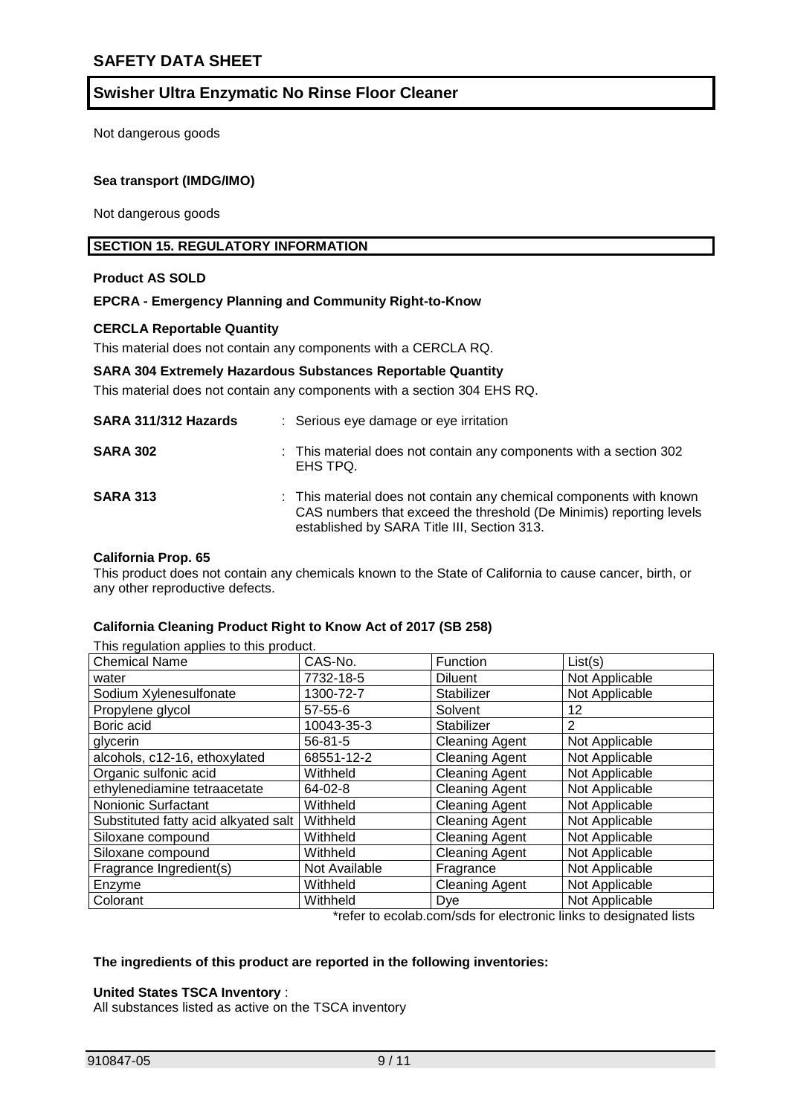Not dangerous goods

#### **Sea transport (IMDG/IMO)**

Not dangerous goods

#### **SECTION 15. REGULATORY INFORMATION**

#### **Product AS SOLD**

#### **EPCRA - Emergency Planning and Community Right-to-Know**

#### **CERCLA Reportable Quantity**

This material does not contain any components with a CERCLA RQ.

#### **SARA 304 Extremely Hazardous Substances Reportable Quantity**

This material does not contain any components with a section 304 EHS RQ.

| SARA 311/312 Hazards | : Serious eye damage or eye irritation                                                                                                                                                    |
|----------------------|-------------------------------------------------------------------------------------------------------------------------------------------------------------------------------------------|
| <b>SARA 302</b>      | : This material does not contain any components with a section 302<br>EHS TPQ.                                                                                                            |
| <b>SARA 313</b>      | : This material does not contain any chemical components with known<br>CAS numbers that exceed the threshold (De Minimis) reporting levels<br>established by SARA Title III, Section 313. |

#### **California Prop. 65**

This product does not contain any chemicals known to the State of California to cause cancer, birth, or any other reproductive defects.

#### **California Cleaning Product Right to Know Act of 2017 (SB 258)**

| This regulation applies to this product. |               |                                        |                |  |
|------------------------------------------|---------------|----------------------------------------|----------------|--|
| <b>Chemical Name</b>                     | CAS-No.       | Function                               | List(s)        |  |
| water                                    | 7732-18-5     | <b>Diluent</b>                         | Not Applicable |  |
| Sodium Xylenesulfonate                   | 1300-72-7     | Stabilizer                             | Not Applicable |  |
| Propylene glycol                         | 57-55-6       | Solvent                                | 12             |  |
| Boric acid                               | 10043-35-3    | Stabilizer                             | 2              |  |
| glycerin                                 | $56 - 81 - 5$ | <b>Cleaning Agent</b>                  | Not Applicable |  |
| alcohols, c12-16, ethoxylated            | 68551-12-2    | <b>Cleaning Agent</b>                  | Not Applicable |  |
| Organic sulfonic acid                    | Withheld      | <b>Cleaning Agent</b>                  | Not Applicable |  |
| ethylenediamine tetraacetate             | 64-02-8       | <b>Cleaning Agent</b>                  | Not Applicable |  |
| Nonionic Surfactant                      | Withheld      | <b>Cleaning Agent</b>                  | Not Applicable |  |
| Substituted fatty acid alkyated salt     | Withheld      | <b>Cleaning Agent</b>                  | Not Applicable |  |
| Siloxane compound                        | Withheld      | <b>Cleaning Agent</b>                  | Not Applicable |  |
| Siloxane compound                        | Withheld      | <b>Cleaning Agent</b>                  | Not Applicable |  |
| Fragrance Ingredient(s)                  | Not Available | Fragrance                              | Not Applicable |  |
| Enzyme                                   | Withheld      | <b>Cleaning Agent</b>                  | Not Applicable |  |
| Colorant                                 | Withheld      | Dye<br>$\cdot$ $\cdot$ $\cdot$<br>.  . | Not Applicable |  |

\*refer to ecolab.com/sds for electronic links to designated lists

#### **The ingredients of this product are reported in the following inventories:**

#### **United States TSCA Inventory** :

All substances listed as active on the TSCA inventory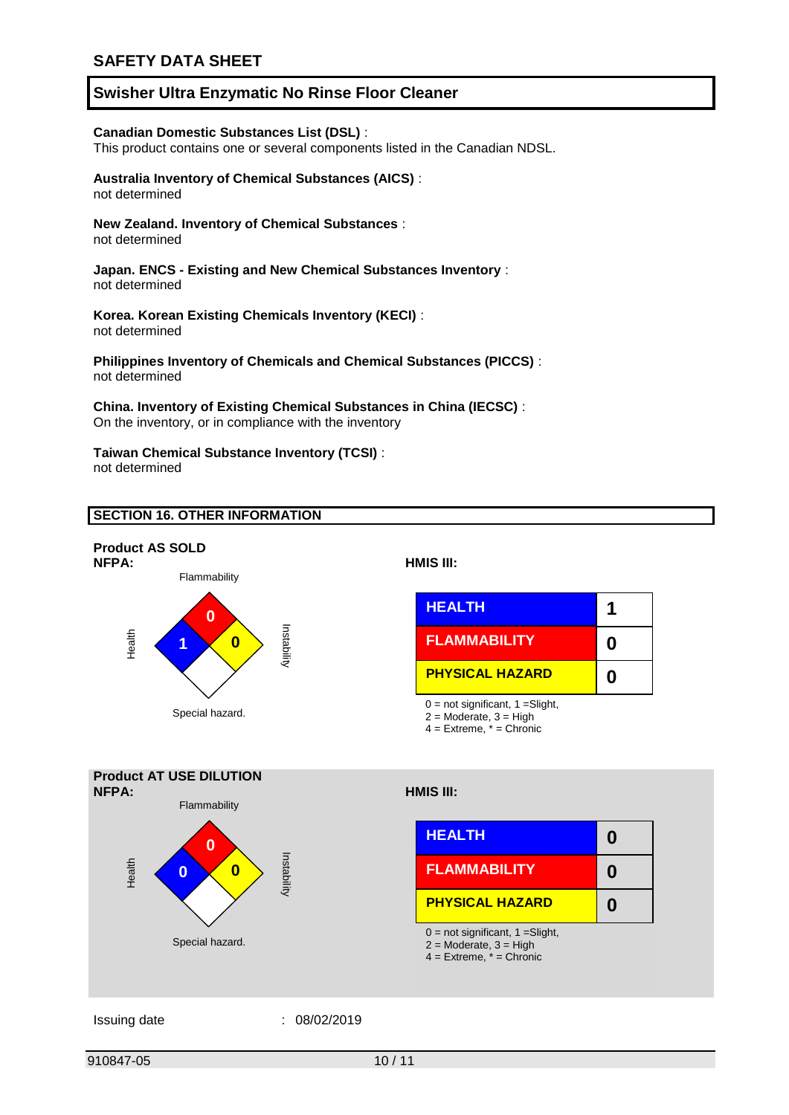#### **Canadian Domestic Substances List (DSL)** :

This product contains one or several components listed in the Canadian NDSL.

#### **Australia Inventory of Chemical Substances (AICS)** :

not determined

#### **New Zealand. Inventory of Chemical Substances** :

not determined

#### **Japan. ENCS - Existing and New Chemical Substances Inventory** : not determined

#### **Korea. Korean Existing Chemicals Inventory (KECI)** : not determined

**Philippines Inventory of Chemicals and Chemical Substances (PICCS)** : not determined

#### **China. Inventory of Existing Chemical Substances in China (IECSC)** : On the inventory, or in compliance with the inventory

### **Taiwan Chemical Substance Inventory (TCSI)** :

not determined

#### **SECTION 16. OTHER INFORMATION**





#### Issuing date : 08/02/2019